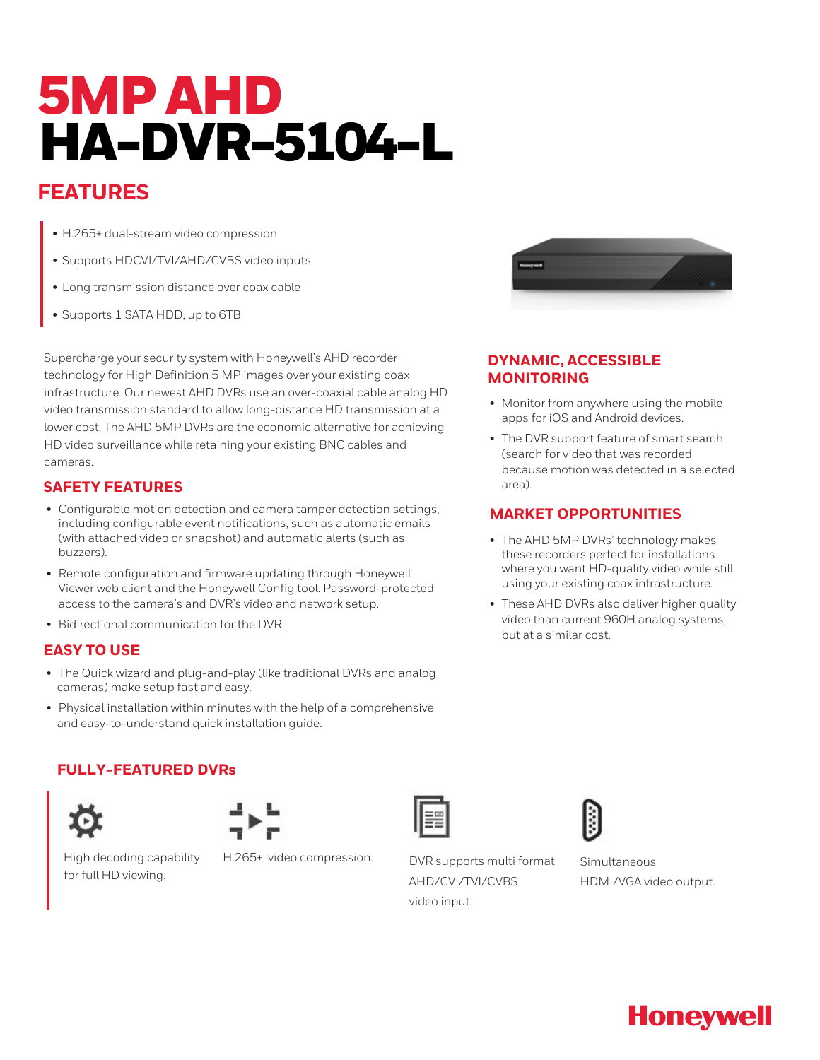# 5MP AHD HA-DVR-5104-L

# **FEATURES**

- H.265+ dual-stream video compression
- Supports HDCVI/TVI/AHD/CVBS video inputs
- Long transmission distance over coax cable
- Supports 1 SATA HDD, up to 6TB

Supercharge your security system with Honeywell's AHD recorder technology for High Definition 5 MP images over your existing coax infrastructure. Our newest AHD DVRs use an over-coaxial cable analog HD video transmission standard to allow long-distance HD transmission at a lower cost. The AHD 5MP DVRs are the economic alternative for achieving HD video surveillance while retaining your existing BNC cables and cameras.

### **SAFETY FEATURES**

- Configurable motion detection and camera tamper detection settings, including configurable event notifications, such as automatic emails (with attached video or snapshot) and automatic alerts (such as buzzers).
- Remote configuration and firmware updating through Honeywell Viewer web client and the Honeywell Config tool. Password-protected access to the camera's and DVR's video and network setup.
- Bidirectional communication for the DVR.

#### **EASY TO USE**

- The Quick wizard and plug-and-play (like traditional DVRs and analog cameras) make setup fast and easy.
- Physical installation within minutes with the help of a comprehensive and easy-to-understand quick installation guide.

## **FULLY-FEATURED DVRs**





High decoding capability for full HD viewing.

H.265+ video compression. DVR supports multi format



#### **DYNAMIC, ACCESSIBLE MONITORING**

- Monitor from anywhere using the mobile apps for iOS and Android devices.
- The DVR support feature of smart search (search for video that was recorded because motion was detected in a selected area).

#### **MARKET OPPORTUNITIES**

- The AHD 5MP DVRs' technology makes these recorders perfect for installations where you want HD-quality video while still using your existing coax infrastructure.
- These AHD DVRs also deliver higher quality video than current 960H analog systems, but at a similar cost.



AHD/CVI/TVI/CVBS video input.



Simultaneous HDMI/VGA video output.

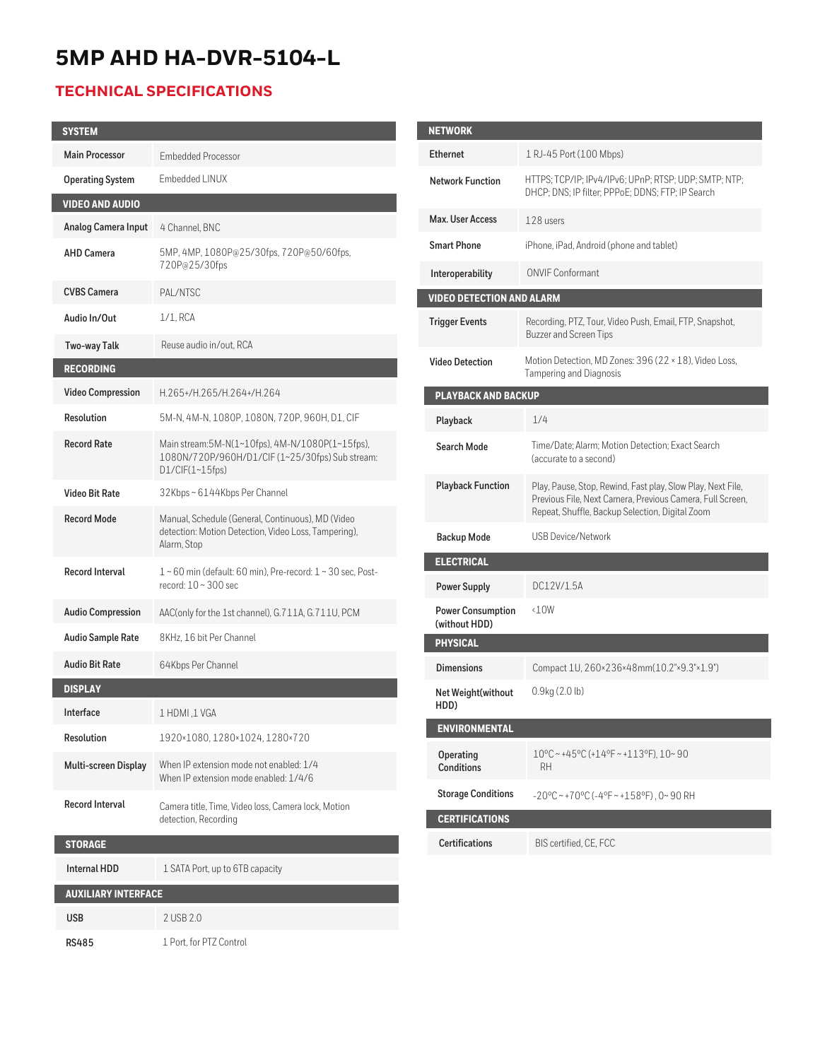# **5MP AHD HA-DVR-5104-L**

## **TECHNICAL SPECIFICATIONS**

| <b>SYSTEM</b>               |                                                                                                                          |  |
|-----------------------------|--------------------------------------------------------------------------------------------------------------------------|--|
| <b>Main Processor</b>       | <b>Embedded Processor</b>                                                                                                |  |
| <b>Operating System</b>     | Embedded LINUX                                                                                                           |  |
| <b>VIDEO AND AUDIO</b>      |                                                                                                                          |  |
| Analog Camera Input         | 4 Channel, BNC                                                                                                           |  |
| <b>AHD Camera</b>           | 5MP, 4MP, 1080P@25/30fps, 720P@50/60fps,<br>720P@25/30fps                                                                |  |
| <b>CVBS Camera</b>          | PAL/NTSC                                                                                                                 |  |
| Audio In/Out                | 1/1, RCA                                                                                                                 |  |
| Two-way Talk                | Reuse audio in/out, RCA                                                                                                  |  |
| <b>RECORDING</b>            |                                                                                                                          |  |
| <b>Video Compression</b>    | H.265+/H.265/H.264+/H.264                                                                                                |  |
| Resolution                  | 5M-N, 4M-N, 1080P, 1080N, 720P, 960H, D1, CIF                                                                            |  |
| <b>Record Rate</b>          | Main stream:5M-N(1~10fps), 4M-N/1080P(1~15fps),<br>1080N/720P/960H/D1/CIF (1~25/30fps) Sub stream:<br>D1/CIF(1~15fps)    |  |
| <b>Video Bit Rate</b>       | 32Kbps~6144Kbps Per Channel                                                                                              |  |
| <b>Record Mode</b>          | Manual, Schedule (General, Continuous), MD (Video<br>detection: Motion Detection, Video Loss, Tampering),<br>Alarm, Stop |  |
| <b>Record Interval</b>      | $1 \sim 60$ min (default: 60 min), Pre-record: $1 \sim 30$ sec, Post-<br>record: $10 \sim 300$ sec                       |  |
| <b>Audio Compression</b>    | AAC(only for the 1st channel), G.711A, G.711U, PCM                                                                       |  |
| <b>Audio Sample Rate</b>    | 8KHz, 16 bit Per Channel                                                                                                 |  |
| <b>Audio Bit Rate</b>       | 64Kbps Per Channel                                                                                                       |  |
| <b>DISPLAY</b>              |                                                                                                                          |  |
| Interface                   | 1 HDMI ,1 VGA                                                                                                            |  |
| Resolution                  | 1920×1080, 1280×1024, 1280×720                                                                                           |  |
| <b>Multi-screen Display</b> | When IP extension mode not enabled: 1/4<br>When IP extension mode enabled: 1/4/6                                         |  |
| Record Interval             | Camera title, Time, Video loss, Camera lock, Motion<br>detection, Recording                                              |  |
| <b>STORAGE</b>              |                                                                                                                          |  |
| <b>Internal HDD</b>         | 1 SATA Port, up to 6TB capacity                                                                                          |  |
| <b>AUXILIARY INTERFACE</b>  |                                                                                                                          |  |
| <b>USB</b>                  | 2 USB 2.0                                                                                                                |  |
| <b>RS485</b>                | 1 Port, for PTZ Control                                                                                                  |  |

| <b>NETWORK</b>                            |                                                                                                                                                                             |  |
|-------------------------------------------|-----------------------------------------------------------------------------------------------------------------------------------------------------------------------------|--|
| <b>Ethernet</b>                           | 1 RJ-45 Port (100 Mbps)                                                                                                                                                     |  |
| <b>Network Function</b>                   | HTTPS; TCP/IP; IPv4/IPv6; UPnP; RTSP; UDP; SMTP; NTP;<br>DHCP; DNS; IP filter; PPPoE; DDNS; FTP; IP Search                                                                  |  |
| Max. User Access                          | 128 users                                                                                                                                                                   |  |
| <b>Smart Phone</b>                        | iPhone, iPad, Android (phone and tablet)                                                                                                                                    |  |
| Interoperability                          | <b>ONVIF Conformant</b>                                                                                                                                                     |  |
| <b>VIDEO DETECTION AND ALARM</b>          |                                                                                                                                                                             |  |
| <b>Trigger Events</b>                     | Recording, PTZ, Tour, Video Push, Email, FTP, Snapshot,<br><b>Buzzer and Screen Tips</b>                                                                                    |  |
| <b>Video Detection</b>                    | Motion Detection, MD Zones: 396 (22 × 18), Video Loss,<br><b>Tampering and Diagnosis</b>                                                                                    |  |
| <b>PLAYBACK AND BACKUP</b>                |                                                                                                                                                                             |  |
| Playback                                  | 1/4                                                                                                                                                                         |  |
| Search Mode                               | Time/Date; Alarm; Motion Detection; Exact Search<br>(accurate to a second)                                                                                                  |  |
| <b>Playback Function</b>                  | Play, Pause, Stop, Rewind, Fast play, Slow Play, Next File,<br>Previous File, Next Camera, Previous Camera, Full Screen,<br>Repeat, Shuffle, Backup Selection, Digital Zoom |  |
| <b>Backup Mode</b>                        | <b>USB Device/Network</b>                                                                                                                                                   |  |
| <b>ELECTRICAL</b>                         |                                                                                                                                                                             |  |
| <b>Power Supply</b>                       | DC12V/1.5A                                                                                                                                                                  |  |
| <b>Power Consumption</b><br>(without HDD) | $\triangle 10W$                                                                                                                                                             |  |
| <b>PHYSICAL</b>                           |                                                                                                                                                                             |  |
| <b>Dimensions</b>                         | Compact 1U, 260×236×48mm(10.2"×9.3"×1.9")                                                                                                                                   |  |
| Net Weight(without<br>HDD)                | $0.9$ kg $(2.0)$                                                                                                                                                            |  |
| <b>ENVIRONMENTAL</b>                      |                                                                                                                                                                             |  |
| Operating<br><b>Conditions</b>            | 10°C~+45°C(+14°F~+113°F).10~90<br><b>RH</b>                                                                                                                                 |  |
| <b>Storage Conditions</b>                 | $-20^{\circ}$ C ~ +70°C (-4°F ~ +158°F), 0~90 RH                                                                                                                            |  |
| <b>CERTIFICATIONS</b>                     |                                                                                                                                                                             |  |
| <b>Certifications</b>                     | BIS certified, CE, FCC                                                                                                                                                      |  |